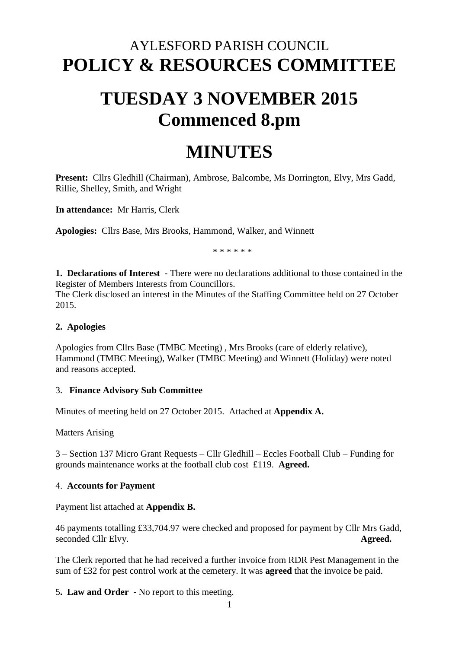## AYLESFORD PARISH COUNCIL **POLICY & RESOURCES COMMITTEE**

# **TUESDAY 3 NOVEMBER 2015 Commenced 8.pm**

## **MINUTES**

**Present:** Cllrs Gledhill (Chairman), Ambrose, Balcombe, Ms Dorrington, Elvy, Mrs Gadd, Rillie, Shelley, Smith, and Wright

**In attendance:** Mr Harris, Clerk

**Apologies:** Cllrs Base, Mrs Brooks, Hammond, Walker, and Winnett

\* \* \* \* \* \*

**1. Declarations of Interest** - There were no declarations additional to those contained in the Register of Members Interests from Councillors.

The Clerk disclosed an interest in the Minutes of the Staffing Committee held on 27 October 2015.

### **2. Apologies**

Apologies from Cllrs Base (TMBC Meeting) , Mrs Brooks (care of elderly relative), Hammond (TMBC Meeting), Walker (TMBC Meeting) and Winnett (Holiday) were noted and reasons accepted.

## 3. **Finance Advisory Sub Committee**

Minutes of meeting held on 27 October 2015. Attached at **Appendix A.** 

Matters Arising

3 – Section 137 Micro Grant Requests – Cllr Gledhill – Eccles Football Club – Funding for grounds maintenance works at the football club cost £119. **Agreed.**

#### 4. **Accounts for Payment**

Payment list attached at **Appendix B.** 

46 payments totalling £33,704.97 were checked and proposed for payment by Cllr Mrs Gadd, seconded Cllr Elvy. **Agreed.** 

The Clerk reported that he had received a further invoice from RDR Pest Management in the sum of £32 for pest control work at the cemetery. It was **agreed** that the invoice be paid.

5**. Law and Order -** No report to this meeting.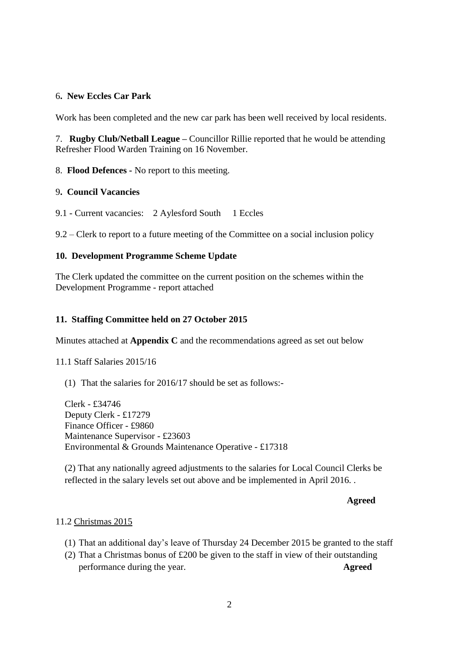### 6**. New Eccles Car Park**

Work has been completed and the new car park has been well received by local residents.

7. **Rugby Club/Netball League –** Councillor Rillie reported that he would be attending Refresher Flood Warden Training on 16 November.

8. **Flood Defences -** No report to this meeting.

#### 9**. Council Vacancies**

9.1 - Current vacancies: 2 Aylesford South 1 Eccles

9.2 – Clerk to report to a future meeting of the Committee on a social inclusion policy

#### **10. Development Programme Scheme Update**

The Clerk updated the committee on the current position on the schemes within the Development Programme - report attached

#### **11. Staffing Committee held on 27 October 2015**

Minutes attached at **Appendix C** and the recommendations agreed as set out below

11.1 Staff Salaries 2015/16

(1) That the salaries for 2016/17 should be set as follows:-

Clerk - £34746 Deputy Clerk - £17279 Finance Officer - £9860 Maintenance Supervisor - £23603 Environmental & Grounds Maintenance Operative - £17318

(2) That any nationally agreed adjustments to the salaries for Local Council Clerks be reflected in the salary levels set out above and be implemented in April 2016. .

#### **Agreed**

#### 11.2 Christmas 2015

- (1) That an additional day's leave of Thursday 24 December 2015 be granted to the staff
- (2) That a Christmas bonus of £200 be given to the staff in view of their outstanding performance during the year. **Agreed**